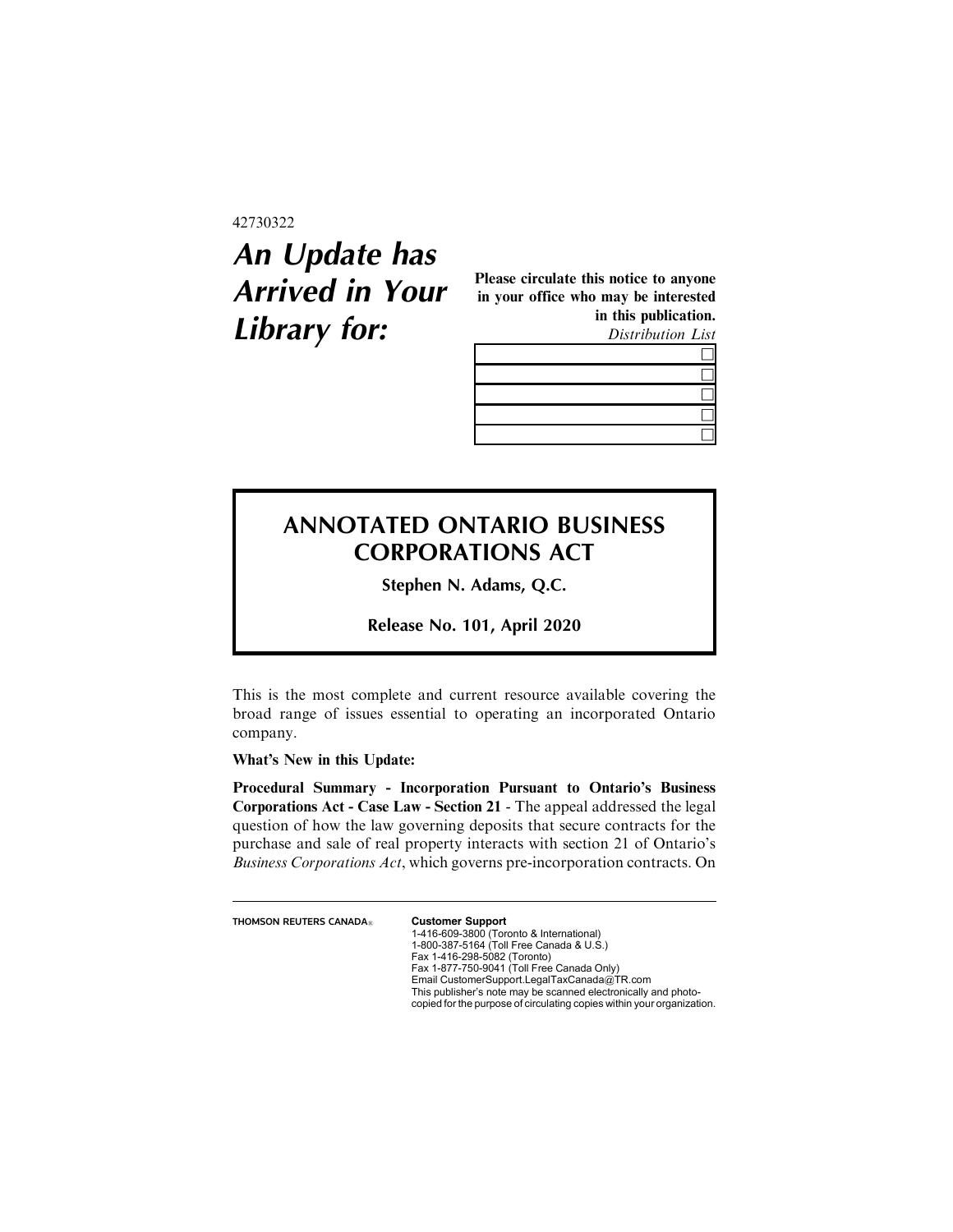## 42730322

## **An Update has Arrived in Your Library for:**

Please circulate this notice to anyone in your office who may be interested in this publication. Distribution List

## **ANNOTATED ONTARIO BUSINESS CORPORATIONS ACT**

**Stephen N. Adams, Q.C.**

**Release No. 101, April 2020**

This is the most complete and current resource available covering the broad range of issues essential to operating an incorporated Ontario company.

What's New in this Update:

Procedural Summary - Incorporation Pursuant to Ontario's Business Corporations Act - Case Law - Section 21 - The appeal addressed the legal question of how the law governing deposits that secure contracts for the purchase and sale of real property interacts with section 21 of Ontario's Business Corporations Act, which governs pre-incorporation contracts. On

**THOMSON REUTERS CANADA<sup>®</sup> Customer Support** 

1-416-609-3800 (Toronto & International) 1-800-387-5164 (Toll Free Canada & U.S.) Fax 1-416-298-5082 (Toronto) Fax 1-877-750-9041 (Toll Free Canada Only) Email CustomerSupport.LegalTaxCanada@TR.com This publisher's note may be scanned electronically and photo-copied for the purpose of circulating copies within your organization.